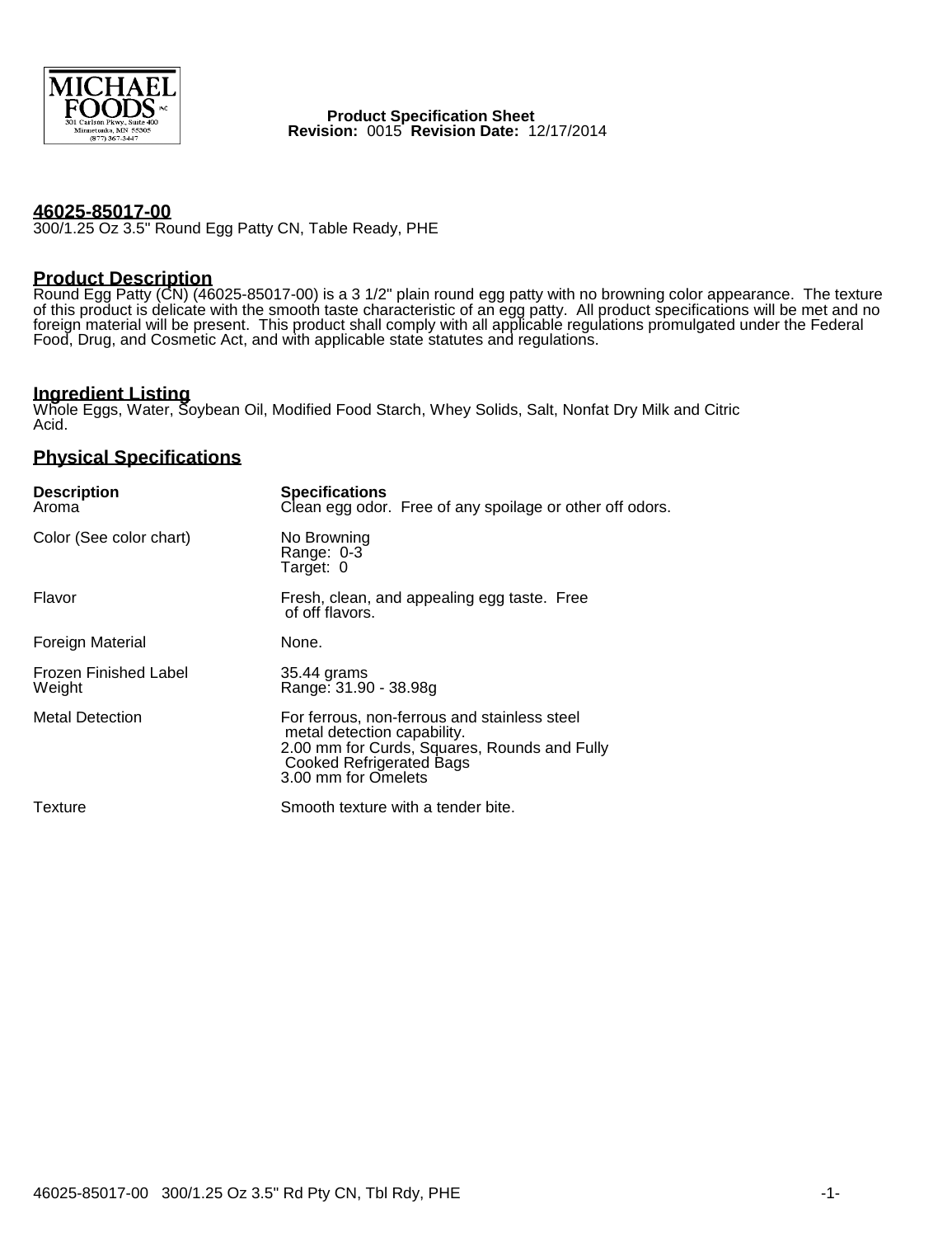

 **Product Specification Sheet Revision:** 0015 **Revision Date:** 12/17/2014

### **46025-85017-00**

300/1.25 Oz 3.5" Round Egg Patty CN, Table Ready, PHE

### **Product Description**

Round Egg Patty (CN) (46025-85017-00) is a 3 1/2" plain round egg patty with no browning color appearance. The texture of this product is delicate with the smooth taste characteristic of an egg patty. All product specifications will be met and no foreign material will be present. This product shall comply with all applicable regulations promulgated under the Federal Food, Drug, and Cosmetic Act, and with applicable state statutes and regulations.

# **Ingredient Listing**

Whole Eggs, Water, Soybean Oil, Modified Food Starch, Whey Solids, Salt, Nonfat Dry Milk and Citric Acid.

## **Physical Specifications**

| <b>Description</b><br>Aroma            | <b>Specifications</b><br>Clean egg odor. Free of any spoilage or other off odors.                                                                                                     |
|----------------------------------------|---------------------------------------------------------------------------------------------------------------------------------------------------------------------------------------|
| Color (See color chart)                | No Browning<br>Range: 0-3<br>Target: 0                                                                                                                                                |
| Flavor                                 | Fresh, clean, and appealing egg taste. Free<br>of off flavors.                                                                                                                        |
| Foreign Material                       | None.                                                                                                                                                                                 |
| <b>Frozen Finished Label</b><br>Weight | 35.44 grams<br>Range: 31.90 - 38.98g                                                                                                                                                  |
| <b>Metal Detection</b>                 | For ferrous, non-ferrous and stainless steel<br>metal detection capability.<br>2.00 mm for Curds, Squares, Rounds and Fully<br><b>Cooked Refrigerated Bags</b><br>3.00 mm for Omelets |
| Texture                                | Smooth texture with a tender bite.                                                                                                                                                    |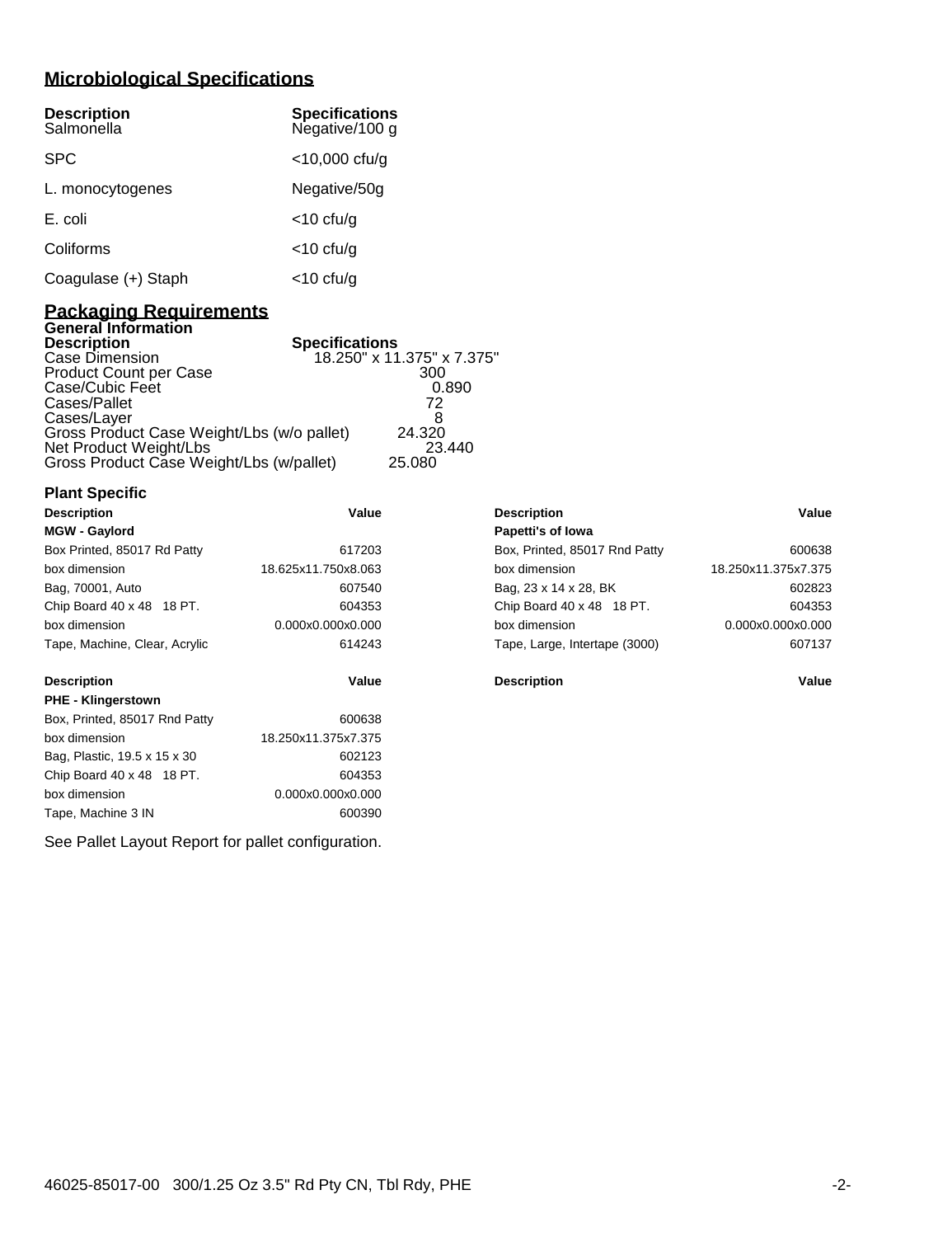# **Microbiological Specifications**

| <b>Description</b><br>Salmonella | <b>Specifications</b><br>Negative/100 g |
|----------------------------------|-----------------------------------------|
| <b>SPC</b>                       | $<$ 10,000 cfu/g                        |
| L. monocytogenes                 | Negative/50g                            |
| E. coli                          | $<$ 10 cfu/g                            |
| Coliforms                        | $<$ 10 cfu/g                            |
| Coagulase (+) Staph              | $<$ 10 cfu/g                            |

## **Packaging Requirements General Information**

| <b>Description</b>                         | <b>Specifications</b>      |
|--------------------------------------------|----------------------------|
| Case Dimension                             | 18.250" x 11.375" x 7.375" |
| <b>Product Count per Case</b>              | 300                        |
| Case/Cubic Feet                            | 0.890                      |
| Cases/Pallet                               | 72                         |
| Cases/Layer                                | 8                          |
| Gross Product Case Weight/Lbs (w/o pallet) | 24.320                     |
| Net Product Weight/Lbs                     | 23.440                     |
| Gross Product Case Weight/Lbs (w/pallet)   | 25.080                     |

| <b>Plant Specific</b>         |                     |                               |                     |
|-------------------------------|---------------------|-------------------------------|---------------------|
| <b>Description</b>            | Value               | <b>Description</b>            | Value               |
| <b>MGW - Gaylord</b>          |                     | Papetti's of lowa             |                     |
| Box Printed, 85017 Rd Patty   | 617203              | Box, Printed, 85017 Rnd Patty | 600638              |
| box dimension                 | 18.625x11.750x8.063 | box dimension                 | 18.250x11.375x7.375 |
| Bag, 70001, Auto              | 607540              | Bag, 23 x 14 x 28, BK         | 602823              |
| Chip Board 40 x 48 18 PT.     | 604353              | Chip Board 40 x 48 18 PT.     | 604353              |
| box dimension                 | 0.000x0.000x0.000   | box dimension                 | 0.000x0.000x0.000   |
| Tape, Machine, Clear, Acrylic | 614243              | Tape, Large, Intertape (3000) | 607137              |
| <b>Description</b>            | Value               | <b>Description</b>            | Value               |
| <b>PHE - Klingerstown</b>     |                     |                               |                     |
| Box, Printed, 85017 Rnd Patty | 600638              |                               |                     |
| box dimension                 | 18.250x11.375x7.375 |                               |                     |
| Bag, Plastic, 19.5 x 15 x 30  | 602123              |                               |                     |
| Chip Board 40 x 48 18 PT.     | 604353              |                               |                     |
| box dimension                 | 0.000x0.000x0.000   |                               |                     |
| Tape, Machine 3 IN            | 600390              |                               |                     |

See Pallet Layout Report for pallet configuration.

| <b>Description</b>            | Value               |
|-------------------------------|---------------------|
| Papetti's of lowa             |                     |
| Box, Printed, 85017 Rnd Patty | 600638              |
| hox dimension                 | 18.250x11.375x7.375 |
| Bag, 23 x 14 x 28, BK         | 602823              |
| Chip Board 40 x 48 18 PT.     | 604353              |
| hox dimension                 | 0.000x0.000x0.000   |
| Tape, Large, Intertape (3000) | 607137              |
|                               |                     |